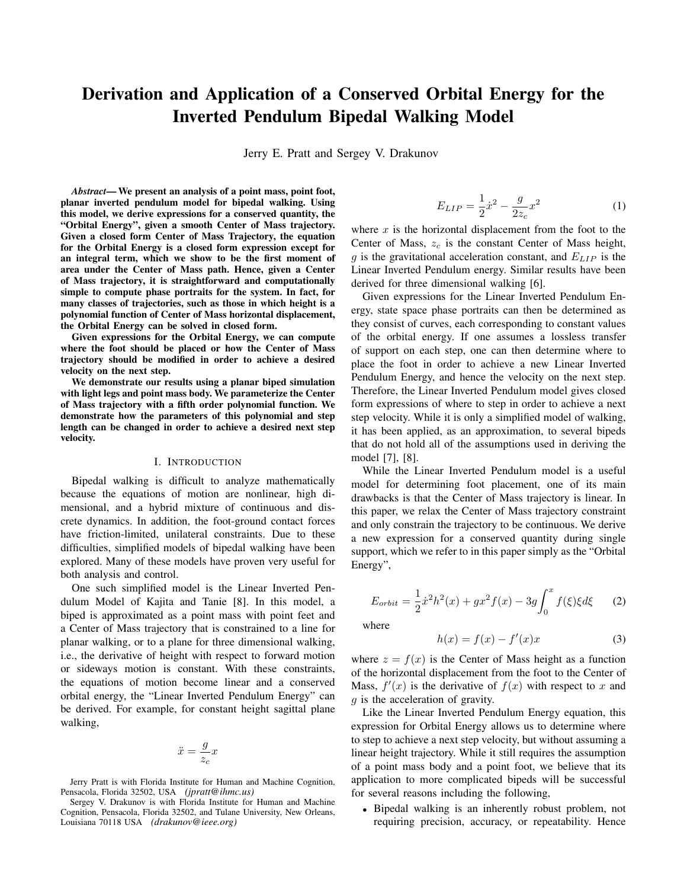# Derivation and Application of a Conserved Orbital Energy for the Inverted Pendulum Bipedal Walking Model

Jerry E. Pratt and Sergey V. Drakunov

*Abstract*— We present an analysis of a point mass, point foot, planar inverted pendulum model for bipedal walking. Using this model, we derive expressions for a conserved quantity, the "Orbital Energy", given a smooth Center of Mass trajectory. Given a closed form Center of Mass Trajectory, the equation for the Orbital Energy is a closed form expression except for an integral term, which we show to be the first moment of area under the Center of Mass path. Hence, given a Center of Mass trajectory, it is straightforward and computationally simple to compute phase portraits for the system. In fact, for many classes of trajectories, such as those in which height is a polynomial function of Center of Mass horizontal displacement, the Orbital Energy can be solved in closed form.

Given expressions for the Orbital Energy, we can compute where the foot should be placed or how the Center of Mass trajectory should be modified in order to achieve a desired velocity on the next step.

We demonstrate our results using a planar biped simulation with light legs and point mass body. We parameterize the Center of Mass trajectory with a fifth order polynomial function. We demonstrate how the parameters of this polynomial and step length can be changed in order to achieve a desired next step velocity.

#### I. INTRODUCTION

Bipedal walking is difficult to analyze mathematically because the equations of motion are nonlinear, high dimensional, and a hybrid mixture of continuous and discrete dynamics. In addition, the foot-ground contact forces have friction-limited, unilateral constraints. Due to these difficulties, simplified models of bipedal walking have been explored. Many of these models have proven very useful for both analysis and control.

One such simplified model is the Linear Inverted Pendulum Model of Kajita and Tanie [8]. In this model, a biped is approximated as a point mass with point feet and a Center of Mass trajectory that is constrained to a line for planar walking, or to a plane for three dimensional walking, i.e., the derivative of height with respect to forward motion or sideways motion is constant. With these constraints, the equations of motion become linear and a conserved orbital energy, the "Linear Inverted Pendulum Energy" can be derived. For example, for constant height sagittal plane walking,

$$
\ddot{x} = \frac{g}{z_c}x
$$

Jerry Pratt is with Florida Institute for Human and Machine Cognition, Pensacola, Florida 32502, USA *(jpratt@ihmc.us)*

Sergey V. Drakunov is with Florida Institute for Human and Machine Cognition, Pensacola, Florida 32502, and Tulane University, New Orleans, Louisiana 70118 USA *(drakunov@ieee.org)*

$$
E_{LIP} = \frac{1}{2}\dot{x}^2 - \frac{g}{2z_c}x^2\tag{1}
$$

where  $x$  is the horizontal displacement from the foot to the Center of Mass,  $z_c$  is the constant Center of Mass height, g is the gravitational acceleration constant, and  $E_{LIP}$  is the Linear Inverted Pendulum energy. Similar results have been derived for three dimensional walking [6].

Given expressions for the Linear Inverted Pendulum Energy, state space phase portraits can then be determined as they consist of curves, each corresponding to constant values of the orbital energy. If one assumes a lossless transfer of support on each step, one can then determine where to place the foot in order to achieve a new Linear Inverted Pendulum Energy, and hence the velocity on the next step. Therefore, the Linear Inverted Pendulum model gives closed form expressions of where to step in order to achieve a next step velocity. While it is only a simplified model of walking, it has been applied, as an approximation, to several bipeds that do not hold all of the assumptions used in deriving the model [7], [8].

While the Linear Inverted Pendulum model is a useful model for determining foot placement, one of its main drawbacks is that the Center of Mass trajectory is linear. In this paper, we relax the Center of Mass trajectory constraint and only constrain the trajectory to be continuous. We derive a new expression for a conserved quantity during single support, which we refer to in this paper simply as the "Orbital Energy",

$$
E_{orbit} = \frac{1}{2}\dot{x}^2h^2(x) + gx^2f(x) - 3g\int_0^x f(\xi)\xi d\xi
$$
 (2)

where

$$
h(x) = f(x) - f'(x)x \tag{3}
$$

where  $z = f(x)$  is the Center of Mass height as a function of the horizontal displacement from the foot to the Center of Mass,  $f'(x)$  is the derivative of  $f(x)$  with respect to x and g is the acceleration of gravity.

Like the Linear Inverted Pendulum Energy equation, this expression for Orbital Energy allows us to determine where to step to achieve a next step velocity, but without assuming a linear height trajectory. While it still requires the assumption of a point mass body and a point foot, we believe that its application to more complicated bipeds will be successful for several reasons including the following,

• Bipedal walking is an inherently robust problem, not requiring precision, accuracy, or repeatability. Hence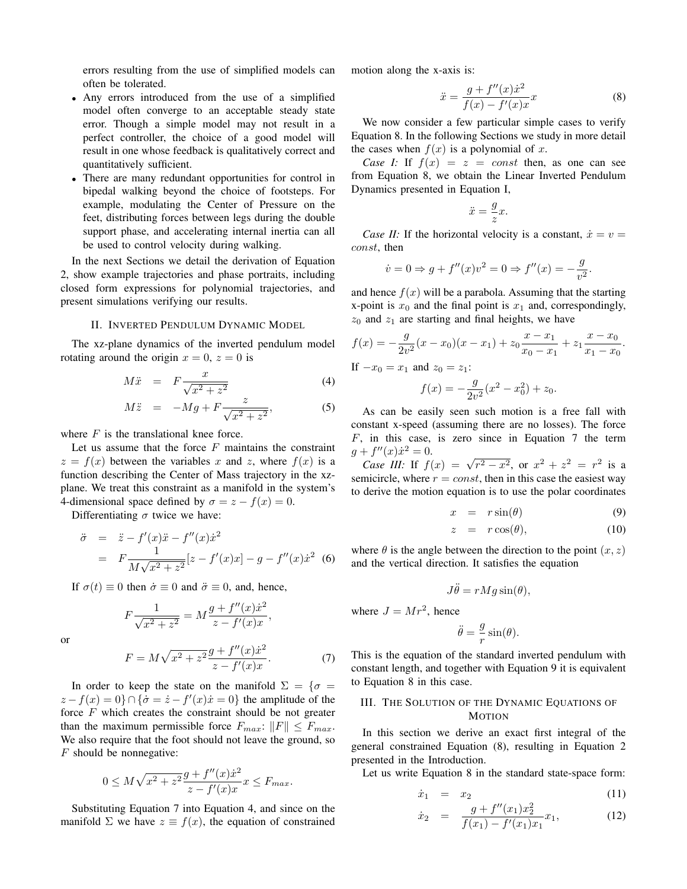errors resulting from the use of simplified models can often be tolerated.

- Any errors introduced from the use of a simplified model often converge to an acceptable steady state error. Though a simple model may not result in a perfect controller, the choice of a good model will result in one whose feedback is qualitatively correct and quantitatively sufficient.
- There are many redundant opportunities for control in bipedal walking beyond the choice of footsteps. For example, modulating the Center of Pressure on the feet, distributing forces between legs during the double support phase, and accelerating internal inertia can all be used to control velocity during walking.

In the next Sections we detail the derivation of Equation 2, show example trajectories and phase portraits, including closed form expressions for polynomial trajectories, and present simulations verifying our results.

#### II. INVERTED PENDULUM DYNAMIC MODEL

The xz-plane dynamics of the inverted pendulum model rotating around the origin  $x = 0$ ,  $z = 0$  is

$$
M\ddot{x} = F\frac{x}{\sqrt{x^2 + z^2}}\tag{4}
$$

$$
M\ddot{z} = -Mg + F\frac{z}{\sqrt{x^2 + z^2}},
$$
\n(5)

where  $F$  is the translational knee force.

Let us assume that the force  $F$  maintains the constraint  $z = f(x)$  between the variables x and z, where  $f(x)$  is a function describing the Center of Mass trajectory in the xzplane. We treat this constraint as a manifold in the system's 4-dimensional space defined by  $\sigma = z - f(x) = 0$ .

Differentiating  $\sigma$  twice we have:

$$
\ddot{\sigma} = \ddot{z} - f'(x)\ddot{x} - f''(x)\dot{x}^{2}
$$

$$
= F \frac{1}{M\sqrt{x^{2} + z^{2}}} [z - f'(x)x] - g - f''(x)\dot{x}^{2} \quad (6)
$$

If  $\sigma(t) \equiv 0$  then  $\dot{\sigma} \equiv 0$  and  $\ddot{\sigma} \equiv 0$ , and, hence,

$$
F\frac{1}{\sqrt{x^2 + z^2}} = M\frac{g + f''(x)\dot{x}^2}{z - f'(x)x},
$$

or

$$
F = M\sqrt{x^2 + z^2} \frac{g + f''(x)\dot{x}^2}{z - f'(x)x}.
$$
 (7)

In order to keep the state on the manifold  $\Sigma = \{\sigma =$  $z - f(x) = 0$   $\cap$   $\{\dot{\sigma} = \dot{z} - f'(x)\dot{x} = 0\}$  the amplitude of the force  $F$  which creates the constraint should be not greater than the maximum permissible force  $F_{max}$ :  $||F|| \le F_{max}$ . We also require that the foot should not leave the ground, so F should be nonnegative:

$$
0\leq M\sqrt{x^2+z^2}\frac{g+f''(x)\dot{x}^2}{z-f'(x)x}x\leq F_{max}.
$$

Substituting Equation 7 into Equation 4, and since on the manifold  $\Sigma$  we have  $z \equiv f(x)$ , the equation of constrained motion along the x-axis is:

$$
\ddot{x} = \frac{g + f''(x)\dot{x}^2}{f(x) - f'(x)x}x
$$
 (8)

We now consider a few particular simple cases to verify Equation 8. In the following Sections we study in more detail the cases when  $f(x)$  is a polynomial of x.

*Case I:* If  $f(x) = z = const$  then, as one can see from Equation 8, we obtain the Linear Inverted Pendulum Dynamics presented in Equation I,

$$
\ddot{x} = \frac{g}{z}x.
$$

*Case II:* If the horizontal velocity is a constant,  $\dot{x} = v =$ const, then

$$
\dot{v} = 0 \Rightarrow g + f''(x)v^2 = 0 \Rightarrow f''(x) = -\frac{g}{v^2}.
$$

and hence  $f(x)$  will be a parabola. Assuming that the starting x-point is  $x_0$  and the final point is  $x_1$  and, correspondingly,  $z_0$  and  $z_1$  are starting and final heights, we have

$$
f(x) = -\frac{g}{2v^2}(x - x_0)(x - x_1) + z_0 \frac{x - x_1}{x_0 - x_1} + z_1 \frac{x - x_0}{x_1 - x_0}.
$$
  
If  $-x_0 = x_1$  and  $z_0 = z_1$ :

$$
f(x) = -\frac{g}{2v^2}(x^2 - x_0^2) + z_0.
$$

As can be easily seen such motion is a free fall with constant x-speed (assuming there are no losses). The force  $F$ , in this case, is zero since in Equation 7 the term  $g + f''(x)\dot{x}^2 = 0.$ 

 $\int \text{Case III: If } f(x) = \sqrt{r^2 - x^2}, \text{ or } x^2 + z^2 = r^2 \text{ is a.}$ semicircle, where  $r = const$ , then in this case the easiest way to derive the motion equation is to use the polar coordinates

$$
x = r\sin(\theta) \tag{9}
$$

$$
z = r \cos(\theta), \tag{10}
$$

where  $\theta$  is the angle between the direction to the point  $(x, z)$ and the vertical direction. It satisfies the equation

$$
J\ddot{\theta} = rMg\sin(\theta),
$$

where  $J = Mr^2$ , hence

$$
\ddot{\theta} = \frac{g}{r} \sin(\theta).
$$

This is the equation of the standard inverted pendulum with constant length, and together with Equation 9 it is equivalent to Equation 8 in this case.

## III. THE SOLUTION OF THE DYNAMIC EQUATIONS OF MOTION

In this section we derive an exact first integral of the general constrained Equation (8), resulting in Equation 2 presented in the Introduction.

Let us write Equation 8 in the standard state-space form:

$$
\dot{x}_1 = x_2 \tag{11}
$$

$$
\dot{x}_2 = \frac{g + f''(x_1)x_2^2}{f(x_1) - f'(x_1)x_1}x_1,\tag{12}
$$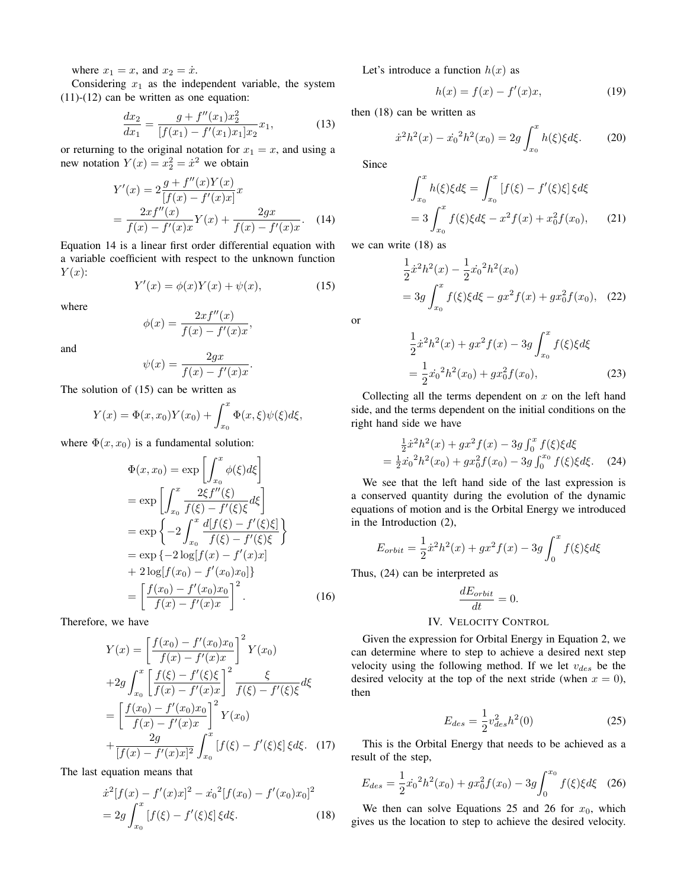where  $x_1 = x$ , and  $x_2 = \dot{x}$ .

Considering  $x_1$  as the independent variable, the system  $(11)-(12)$  can be written as one equation:

$$
\frac{dx_2}{dx_1} = \frac{g + f''(x_1)x_2^2}{[f(x_1) - f'(x_1)x_1]x_2}x_1,
$$
\n(13)

or returning to the original notation for  $x_1 = x$ , and using a new notation  $Y(x) = x_2^2 = \dot{x}^2$  we obtain

$$
Y'(x) = 2\frac{g + f''(x)Y(x)}{[f(x) - f'(x)x]}x
$$
  
= 
$$
\frac{2xf''(x)}{f(x) - f'(x)x}Y(x) + \frac{2gx}{f(x) - f'(x)x}.
$$
 (14)

Equation 14 is a linear first order differential equation with a variable coefficient with respect to the unknown function  $Y(x)$ :

$$
Y'(x) = \phi(x)Y(x) + \psi(x),\tag{15}
$$

where

$$
\phi(x) = \frac{2xf''(x)}{f(x) - f'(x)x},
$$

and

$$
\psi(x) = \frac{2gx}{f(x) - f'(x)x}.
$$

The solution of (15) can be written as

$$
Y(x) = \Phi(x, x_0)Y(x_0) + \int_{x_0}^x \Phi(x, \xi)\psi(\xi)d\xi,
$$

where  $\Phi(x, x_0)$  is a fundamental solution:

$$
\Phi(x, x_0) = \exp\left[\int_{x_0}^x \phi(\xi) d\xi\right]
$$
\n
$$
= \exp\left[\int_{x_0}^x \frac{2\xi f''(\xi)}{f(\xi) - f'(\xi)\xi} d\xi\right]
$$
\n
$$
= \exp\left\{-2 \int_{x_0}^x \frac{d[f(\xi) - f'(\xi)\xi]}{f(\xi) - f'(\xi)\xi}\right\}
$$
\n
$$
= \exp\left\{-2 \log[f(x) - f'(x)x] + 2 \log[f(x_0) - f'(x_0)x_0]\right\}
$$
\n
$$
= \left[\frac{f(x_0) - f'(x_0)x_0}{f(x) - f'(x)x}\right]^2. \tag{16}
$$

Therefore, we have

$$
Y(x) = \left[\frac{f(x_0) - f'(x_0)x_0}{f(x) - f'(x)x}\right]^2 Y(x_0)
$$
  
+2g  $\int_{x_0}^x \left[\frac{f(\xi) - f'(\xi)\xi}{f(x) - f'(x)x}\right]^2 \frac{\xi}{f(\xi) - f'(\xi)\xi} d\xi$   
=  $\left[\frac{f(x_0) - f'(x_0)x_0}{f(x) - f'(x)x}\right]^2 Y(x_0)$   
+ $\frac{2g}{[f(x) - f'(x)x]^2} \int_{x_0}^x [f(\xi) - f'(\xi)\xi] \xi d\xi.$  (17)

The last equation means that

$$
\dot{x}^{2}[f(x) - f'(x)x]^{2} - \dot{x}_{0}^{2}[f(x_{0}) - f'(x_{0})x_{0}]^{2}
$$
  
=  $2g \int_{x_{0}}^{x} [f(\xi) - f'(\xi)\xi] \xi d\xi.$  (18)

Let's introduce a function  $h(x)$  as

$$
h(x) = f(x) - f'(x)x,
$$
 (19)

then (18) can be written as

$$
\dot{x}^2 h^2(x) - \dot{x}_0^2 h^2(x_0) = 2g \int_{x_0}^x h(\xi) \xi d\xi.
$$
 (20)

Since

$$
\int_{x_0}^x h(\xi)\xi d\xi = \int_{x_0}^x [f(\xi) - f'(\xi)\xi] \xi d\xi
$$
  
=  $3 \int_{x_0}^x f(\xi)\xi d\xi - x^2 f(x) + x_0^2 f(x_0),$  (21)

we can write (18) as

$$
\frac{1}{2}\dot{x}^2h^2(x) - \frac{1}{2}\dot{x}_0^2h^2(x_0)
$$
  
=  $3g \int_{x_0}^x f(\xi)\xi d\xi - gx^2f(x) + gx_0^2f(x_0),$  (22)

or

$$
\frac{1}{2}\dot{x}^2h^2(x) + gx^2f(x) - 3g\int_{x_0}^x f(\xi)\xi d\xi
$$

$$
= \frac{1}{2}\dot{x}_0^2h^2(x_0) + gx_0^2f(x_0),
$$
(23)

Collecting all the terms dependent on  $x$  on the left hand side, and the terms dependent on the initial conditions on the right hand side we have

$$
\frac{1}{2}\dot{x}^2h^2(x) + gx^2f(x) - 3g\int_0^x f(\xi)\xi d\xi
$$
  
= 
$$
\frac{1}{2}\dot{x}_0^2h^2(x_0) + gx_0^2f(x_0) - 3g\int_0^{x_0} f(\xi)\xi d\xi.
$$
 (24)

We see that the left hand side of the last expression is a conserved quantity during the evolution of the dynamic equations of motion and is the Orbital Energy we introduced in the Introduction (2),

$$
E_{orbit} = \frac{1}{2}\dot{x}^2h^2(x) + gx^2f(x) - 3g\int_0^x f(\xi)\xi d\xi
$$

Thus, (24) can be interpreted as

$$
\frac{dE_{orbit}}{dt} = 0.
$$

## IV. VELOCITY CONTROL

Given the expression for Orbital Energy in Equation 2, we can determine where to step to achieve a desired next step velocity using the following method. If we let  $v_{des}$  be the desired velocity at the top of the next stride (when  $x = 0$ ), then

$$
E_{des} = \frac{1}{2} v_{des}^2 h^2(0)
$$
 (25)

This is the Orbital Energy that needs to be achieved as a result of the step,

$$
E_{des} = \frac{1}{2}\dot{x}_0^2 h^2(x_0) + g x_0^2 f(x_0) - 3g \int_0^{x_0} f(\xi) \xi d\xi \quad (26)
$$

We then can solve Equations 25 and 26 for  $x_0$ , which gives us the location to step to achieve the desired velocity.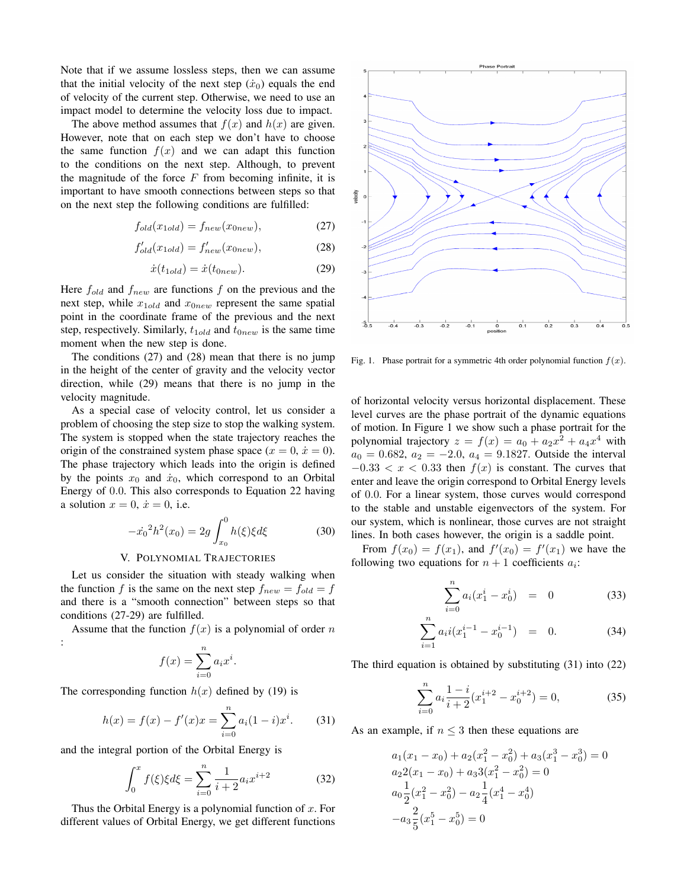Note that if we assume lossless steps, then we can assume that the initial velocity of the next step  $(\dot{x}_0)$  equals the end of velocity of the current step. Otherwise, we need to use an impact model to determine the velocity loss due to impact.

The above method assumes that  $f(x)$  and  $h(x)$  are given. However, note that on each step we don't have to choose the same function  $f(x)$  and we can adapt this function to the conditions on the next step. Although, to prevent the magnitude of the force  $F$  from becoming infinite, it is important to have smooth connections between steps so that on the next step the following conditions are fulfilled:

$$
f_{old}(x_{1old}) = f_{new}(x_{0new}), \qquad (27)
$$

$$
f'_{old}(x_{1old}) = f'_{new}(x_{0new}),
$$
 (28)

$$
\dot{x}(t_{1old}) = \dot{x}(t_{0new}).\tag{29}
$$

Here  $f_{old}$  and  $f_{new}$  are functions f on the previous and the next step, while  $x_{1old}$  and  $x_{0new}$  represent the same spatial point in the coordinate frame of the previous and the next step, respectively. Similarly,  $t_{1old}$  and  $t_{0new}$  is the same time moment when the new step is done.

The conditions (27) and (28) mean that there is no jump in the height of the center of gravity and the velocity vector direction, while (29) means that there is no jump in the velocity magnitude.

As a special case of velocity control, let us consider a problem of choosing the step size to stop the walking system. The system is stopped when the state trajectory reaches the origin of the constrained system phase space  $(x = 0, \dot{x} = 0)$ . The phase trajectory which leads into the origin is defined by the points  $x_0$  and  $\dot{x}_0$ , which correspond to an Orbital Energy of 0.0. This also corresponds to Equation 22 having a solution  $x = 0$ ,  $\dot{x} = 0$ , i.e.

$$
-x_0^2 h^2(x_0) = 2g \int_{x_0}^0 h(\xi) \xi d\xi
$$
 (30)

## V. POLYNOMIAL TRAJECTORIES

Let us consider the situation with steady walking when the function f is the same on the next step  $f_{new} = f_{old} = f$ and there is a "smooth connection" between steps so that conditions (27-29) are fulfilled.

Assume that the function  $f(x)$  is a polynomial of order n :

$$
f(x) = \sum_{i=0}^{n} a_i x^i.
$$

The corresponding function  $h(x)$  defined by (19) is

$$
h(x) = f(x) - f'(x)x = \sum_{i=0}^{n} a_i (1-i)x^{i}.
$$
 (31)

and the integral portion of the Orbital Energy is

$$
\int_0^x f(\xi)\xi d\xi = \sum_{i=0}^n \frac{1}{i+2} a_i x^{i+2}
$$
 (32)

Thus the Orbital Energy is a polynomial function of  $x$ . For different values of Orbital Energy, we get different functions



Fig. 1. Phase portrait for a symmetric 4th order polynomial function  $f(x)$ .

of horizontal velocity versus horizontal displacement. These level curves are the phase portrait of the dynamic equations of motion. In Figure 1 we show such a phase portrait for the polynomial trajectory  $z = f(x) = a_0 + a_2x^2 + a_4x^4$  with  $a_0 = 0.682, a_2 = -2.0, a_4 = 9.1827$ . Outside the interval  $-0.33 < x < 0.33$  then  $f(x)$  is constant. The curves that enter and leave the origin correspond to Orbital Energy levels of 0.0. For a linear system, those curves would correspond to the stable and unstable eigenvectors of the system. For our system, which is nonlinear, those curves are not straight lines. In both cases however, the origin is a saddle point.

From  $f(x_0) = f(x_1)$ , and  $f'(x_0) = f'(x_1)$  we have the following two equations for  $n + 1$  coefficients  $a_i$ :

$$
\sum_{i=0}^{n} a_i (x_1^i - x_0^i) = 0 \tag{33}
$$

$$
\sum_{i=1}^{n} a_i i (x_1^{i-1} - x_0^{i-1}) = 0.
$$
 (34)

The third equation is obtained by substituting (31) into (22)

$$
\sum_{i=0}^{n} a_i \frac{1-i}{i+2} (x_1^{i+2} - x_0^{i+2}) = 0,
$$
 (35)

As an example, if  $n \leq 3$  then these equations are

$$
a_1(x_1 - x_0) + a_2(x_1^2 - x_0^2) + a_3(x_1^3 - x_0^3) = 0
$$
  
\n
$$
a_2 2(x_1 - x_0) + a_3 3(x_1^2 - x_0^2) = 0
$$
  
\n
$$
a_0 \frac{1}{2}(x_1^2 - x_0^2) - a_2 \frac{1}{4}(x_1^4 - x_0^4)
$$
  
\n
$$
-a_3 \frac{2}{5}(x_1^5 - x_0^5) = 0
$$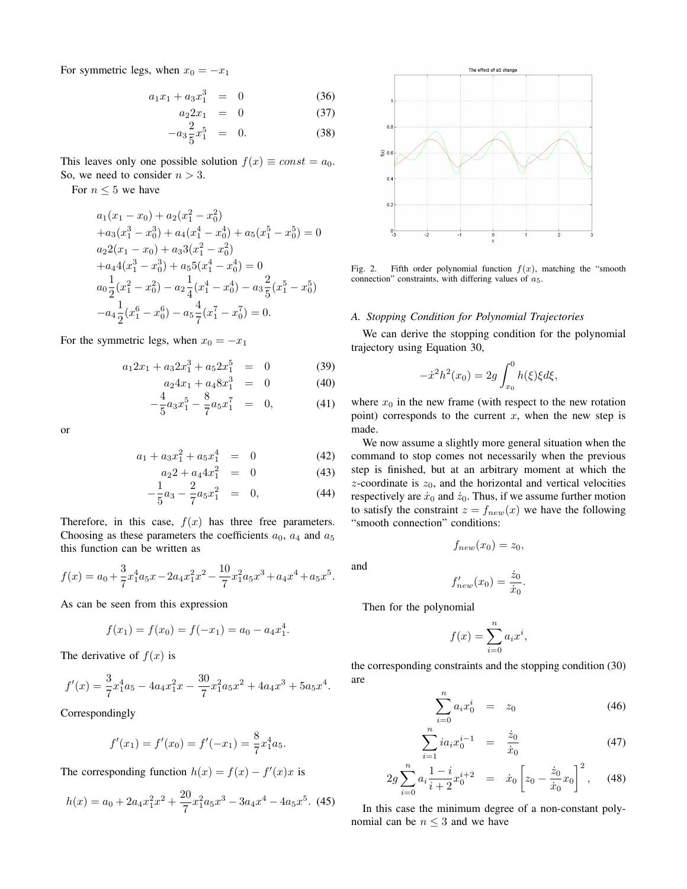For symmetric legs, when  $x_0 = -x_1$ 

$$
a_1x_1 + a_3x_1^3 = 0 \t\t(36)
$$

$$
a_2 2x_1 = 0 \tag{37}
$$

$$
-a_3 \frac{2}{5} x_1^5 = 0. \t(38)
$$

This leaves only one possible solution  $f(x) \equiv const = a_0$ . So, we need to consider  $n > 3$ .

For  $n \leq 5$  we have

$$
a_1(x_1 - x_0) + a_2(x_1^2 - x_0^2)
$$
  
\n
$$
+ a_3(x_1^3 - x_0^3) + a_4(x_1^4 - x_0^4) + a_5(x_1^5 - x_0^5) = 0
$$
  
\n
$$
a_2 2(x_1 - x_0) + a_3 3(x_1^2 - x_0^2)
$$
  
\n
$$
+ a_4 4(x_1^3 - x_0^3) + a_5 5(x_1^4 - x_0^4) = 0
$$
  
\n
$$
a_0 \frac{1}{2}(x_1^2 - x_0^2) - a_2 \frac{1}{4}(x_1^4 - x_0^4) - a_3 \frac{2}{5}(x_1^5 - x_0^5)
$$
  
\n
$$
-a_4 \frac{1}{2}(x_1^6 - x_0^6) - a_5 \frac{4}{7}(x_1^7 - x_0^7) = 0.
$$

For the symmetric legs, when  $x_0 = -x_1$ 

$$
a_1 2x_1 + a_3 2x_1^3 + a_5 2x_1^5 = 0 \t\t(39)
$$

$$
a_2 4x_1 + a_4 8x_1^3 = 0 \t\t(40)
$$

$$
-\frac{4}{5}a_3x_1^5 - \frac{8}{7}a_5x_1^7 = 0, \t(41)
$$

or

$$
a_1 + a_3 x_1^2 + a_5 x_1^4 = 0 \tag{42}
$$

$$
a_2 2 + a_4 4x_1^2 = 0 \tag{43}
$$

$$
-\frac{1}{5}a_3 - \frac{2}{7}a_5x_1^2 = 0, \t(44)
$$

Therefore, in this case,  $f(x)$  has three free parameters. Choosing as these parameters the coefficients  $a_0$ ,  $a_4$  and  $a_5$ this function can be written as

$$
f(x) = a_0 + \frac{3}{7}x_1^4 a_5 x - 2a_4 x_1^2 x^2 - \frac{10}{7}x_1^2 a_5 x^3 + a_4 x^4 + a_5 x^5.
$$

As can be seen from this expression

$$
f(x_1) = f(x_0) = f(-x_1) = a_0 - a_4 x_1^4.
$$

The derivative of  $f(x)$  is

$$
f'(x) = \frac{3}{7}x_1^4a_5 - 4a_4x_1^2x - \frac{30}{7}x_1^2a_5x^2 + 4a_4x^3 + 5a_5x^4.
$$

Correspondingly

$$
f'(x_1) = f'(x_0) = f'(-x_1) = \frac{8}{7}x_1^4 a_5.
$$

The corresponding function  $h(x) = f(x) - f'(x)x$  is

$$
h(x) = a_0 + 2a_4x_1^2x^2 + \frac{20}{7}x_1^2a_5x^3 - 3a_4x^4 - 4a_5x^5.
$$
 (45)



Fig. 2. Fifth order polynomial function  $f(x)$ , matching the "smooth" connection" constraints, with differing values of  $a_5$ .

## *A. Stopping Condition for Polynomial Trajectories*

We can derive the stopping condition for the polynomial trajectory using Equation 30,

$$
-\dot{x}^2h^2(x_0) = 2g \int_{x_0}^0 h(\xi)\xi d\xi,
$$

where  $x_0$  in the new frame (with respect to the new rotation point) corresponds to the current  $x$ , when the new step is made.

We now assume a slightly more general situation when the command to stop comes not necessarily when the previous step is finished, but at an arbitrary moment at which the  $z$ -coordinate is  $z_0$ , and the horizontal and vertical velocities respectively are  $\dot{x}_0$  and  $\dot{z}_0$ . Thus, if we assume further motion to satisfy the constraint  $z = f_{new}(x)$  we have the following "smooth connection" conditions:

$$
f_{new}(x_0) = z_0,
$$

and

$$
f'_{new}(x_0) = \frac{\dot{z}_0}{\dot{x}_0}.
$$

Then for the polynomial

$$
f(x) = \sum_{i=0}^{n} a_i x^i,
$$

the corresponding constraints and the stopping condition (30) are

$$
\sum_{i=0}^{n} a_i x_0^i = z_0 \tag{46}
$$

$$
\sum_{i=1}^{n} i a_i x_0^{i-1} = \frac{\dot{z}_0}{\dot{x}_0} \tag{47}
$$

$$
2g\sum_{i=0}^{n}a_{i}\frac{1-i}{i+2}x_{0}^{i+2} = \dot{x}_{0}\left[z_{0}-\frac{\dot{z}_{0}}{\dot{x}_{0}}x_{0}\right]^{2}, \quad (48)
$$

In this case the minimum degree of a non-constant polynomial can be  $n \leq 3$  and we have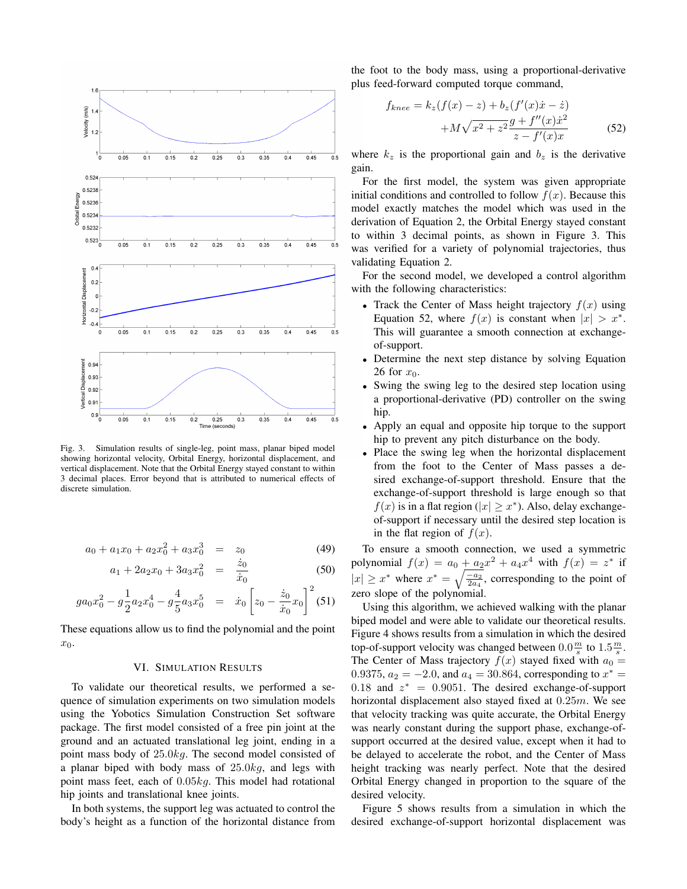

Fig. 3. Simulation results of single-leg, point mass, planar biped model showing horizontal velocity, Orbital Energy, horizontal displacement, and vertical displacement. Note that the Orbital Energy stayed constant to within 3 decimal places. Error beyond that is attributed to numerical effects of discrete simulation.

$$
a_0 + a_1 x_0 + a_2 x_0^2 + a_3 x_0^3 = z_0 \tag{49}
$$

$$
a_1 + 2a_2x_0 + 3a_3x_0^2 = \frac{\dot{z}_0}{\dot{x}_0} \tag{50}
$$

$$
g a_0 x_0^2 - g \frac{1}{2} a_2 x_0^4 - g \frac{4}{5} a_3 x_0^5 = \dot{x}_0 \left[ z_0 - \frac{\dot{z}_0}{\dot{x}_0} x_0 \right]^2 \text{(51)}
$$

These equations allow us to find the polynomial and the point  $x_0$ .

## VI. SIMULATION RESULTS

To validate our theoretical results, we performed a sequence of simulation experiments on two simulation models using the Yobotics Simulation Construction Set software package. The first model consisted of a free pin joint at the ground and an actuated translational leg joint, ending in a point mass body of 25.0kg. The second model consisted of a planar biped with body mass of  $25.0kg$ , and legs with point mass feet, each of 0.05kg. This model had rotational hip joints and translational knee joints.

In both systems, the support leg was actuated to control the body's height as a function of the horizontal distance from the foot to the body mass, using a proportional-derivative plus feed-forward computed torque command,

$$
f_{knee} = k_z(f(x) - z) + b_z(f'(x)\dot{x} - \dot{z})
$$

$$
+ M\sqrt{x^2 + z^2} \frac{g + f''(x)\dot{x}^2}{z - f'(x)x}
$$
(52)

where  $k_z$  is the proportional gain and  $b_z$  is the derivative gain.

For the first model, the system was given appropriate initial conditions and controlled to follow  $f(x)$ . Because this model exactly matches the model which was used in the derivation of Equation 2, the Orbital Energy stayed constant to within 3 decimal points, as shown in Figure 3. This was verified for a variety of polynomial trajectories, thus validating Equation 2.

For the second model, we developed a control algorithm with the following characteristics:

- Track the Center of Mass height trajectory  $f(x)$  using Equation 52, where  $f(x)$  is constant when  $|x| > x^*$ . This will guarantee a smooth connection at exchangeof-support.
- Determine the next step distance by solving Equation 26 for  $x_0$ .
- Swing the swing leg to the desired step location using a proportional-derivative (PD) controller on the swing hip.
- Apply an equal and opposite hip torque to the support hip to prevent any pitch disturbance on the body.
- Place the swing leg when the horizontal displacement from the foot to the Center of Mass passes a desired exchange-of-support threshold. Ensure that the exchange-of-support threshold is large enough so that  $f(x)$  is in a flat region ( $|x| \geq x^*$ ). Also, delay exchangeof-support if necessary until the desired step location is in the flat region of  $f(x)$ .

To ensure a smooth connection, we used a symmetric polynomial  $f(x) = a_0 + a_2x^2 + a_4x^4$  with  $f(x) = z^*$  if  $|x| \geq x^*$  where  $x^* = \sqrt{\frac{-a_2}{2a_4}}$ , corresponding to the point of zero slope of the polynomial.

Using this algorithm, we achieved walking with the planar biped model and were able to validate our theoretical results. Figure 4 shows results from a simulation in which the desired top-of-support velocity was changed between  $0.0\frac{m}{s}$  to  $1.5\frac{m}{s}$ . The Center of Mass trajectory  $f(x)$  stayed fixed with  $a_0 =$ 0.9375,  $a_2 = -2.0$ , and  $a_4 = 30.864$ , corresponding to  $x^* =$ 0.18 and  $z^* = 0.9051$ . The desired exchange-of-support horizontal displacement also stayed fixed at 0.25m. We see that velocity tracking was quite accurate, the Orbital Energy was nearly constant during the support phase, exchange-ofsupport occurred at the desired value, except when it had to be delayed to accelerate the robot, and the Center of Mass height tracking was nearly perfect. Note that the desired Orbital Energy changed in proportion to the square of the desired velocity.

Figure 5 shows results from a simulation in which the desired exchange-of-support horizontal displacement was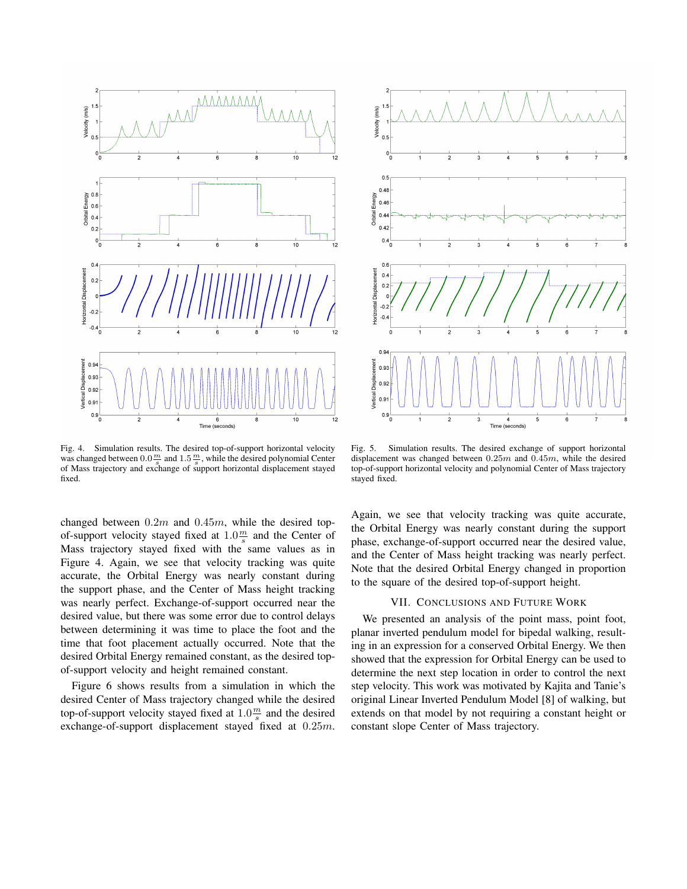

Fig. 4. Simulation results. The desired top-of-support horizontal velocity was changed between  $0.0 \frac{m}{s}$  and  $1.5 \frac{m}{s}$ , while the desired polynomial Center of Mass trajectory and exchange of support horizontal displacement stayed fixed.

changed between  $0.2m$  and  $0.45m$ , while the desired topof-support velocity stayed fixed at  $1.0\frac{m}{s}$  and the Center of Mass trajectory stayed fixed with the same values as in Figure 4. Again, we see that velocity tracking was quite accurate, the Orbital Energy was nearly constant during the support phase, and the Center of Mass height tracking was nearly perfect. Exchange-of-support occurred near the desired value, but there was some error due to control delays between determining it was time to place the foot and the time that foot placement actually occurred. Note that the desired Orbital Energy remained constant, as the desired topof-support velocity and height remained constant.

Figure 6 shows results from a simulation in which the desired Center of Mass trajectory changed while the desired top-of-support velocity stayed fixed at  $1.0\frac{m}{s}$  and the desired exchange-of-support displacement stayed fixed at 0.25m.



Fig. 5. Simulation results. The desired exchange of support horizontal displacement was changed between  $0.25m$  and  $0.45m$ , while the desired top-of-support horizontal velocity and polynomial Center of Mass trajectory stayed fixed.

Again, we see that velocity tracking was quite accurate, the Orbital Energy was nearly constant during the support phase, exchange-of-support occurred near the desired value, and the Center of Mass height tracking was nearly perfect. Note that the desired Orbital Energy changed in proportion to the square of the desired top-of-support height.

#### VII. CONCLUSIONS AND FUTURE WORK

We presented an analysis of the point mass, point foot, planar inverted pendulum model for bipedal walking, resulting in an expression for a conserved Orbital Energy. We then showed that the expression for Orbital Energy can be used to determine the next step location in order to control the next step velocity. This work was motivated by Kajita and Tanie's original Linear Inverted Pendulum Model [8] of walking, but extends on that model by not requiring a constant height or constant slope Center of Mass trajectory.